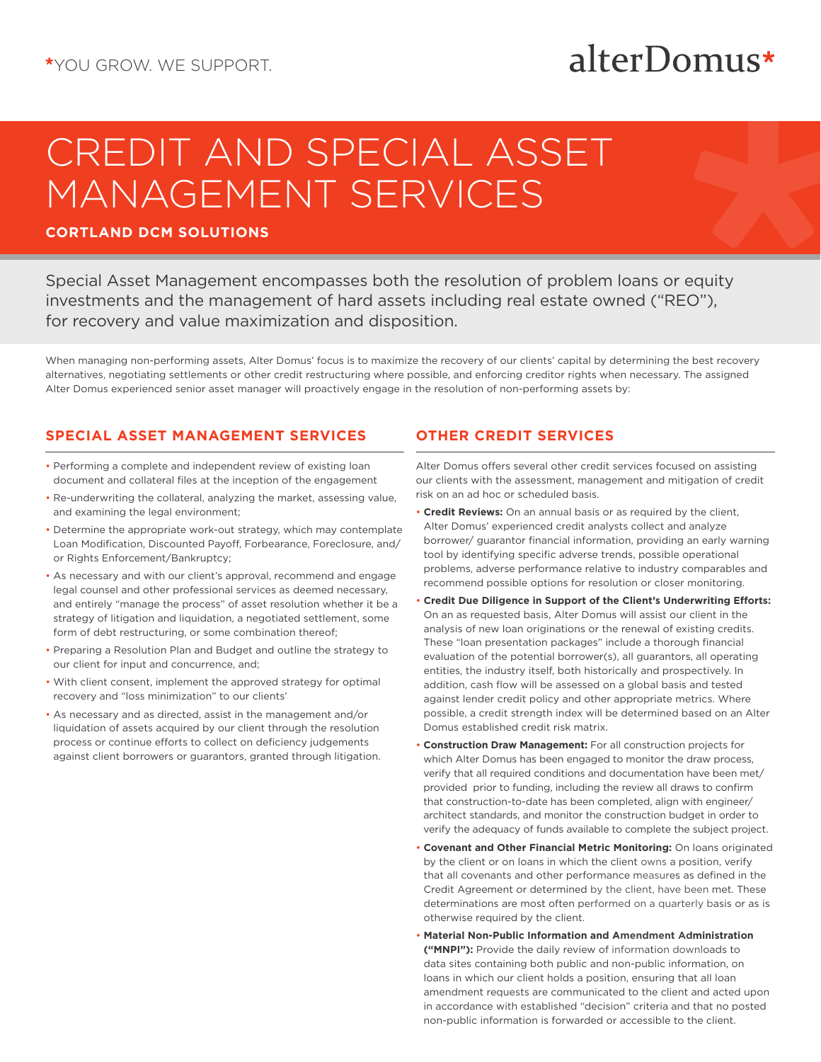## alterDomus\*

# CREDIT AND SPECIAL ASSET MANAGEMENT SERVICES

#### **CORTLAND DCM SOLUTIONS**

Special Asset Management encompasses both the resolution of problem loans or equity investments and the management of hard assets including real estate owned ("REO"), for recovery and value maximization and disposition.

When managing non-performing assets, Alter Domus' focus is to maximize the recovery of our clients' capital by determining the best recovery alternatives, negotiating settlements or other credit restructuring where possible, and enforcing creditor rights when necessary. The assigned Alter Domus experienced senior asset manager will proactively engage in the resolution of non-performing assets by:

#### **SPECIAL ASSET MANAGEMENT SERVICES**

- Performing a complete and independent review of existing loan document and collateral files at the inception of the engagement
- Re-underwriting the collateral, analyzing the market, assessing value, and examining the legal environment;
- Determine the appropriate work-out strategy, which may contemplate Loan Modification, Discounted Payoff, Forbearance, Foreclosure, and/ or Rights Enforcement/Bankruptcy;
- As necessary and with our client's approval, recommend and engage legal counsel and other professional services as deemed necessary, and entirely "manage the process" of asset resolution whether it be a strategy of litigation and liquidation, a negotiated settlement, some form of debt restructuring, or some combination thereof;
- Preparing a Resolution Plan and Budget and outline the strategy to our client for input and concurrence, and;
- With client consent, implement the approved strategy for optimal recovery and "loss minimization" to our clients'
- As necessary and as directed, assist in the management and/or liquidation of assets acquired by our client through the resolution process or continue efforts to collect on deficiency judgements against client borrowers or guarantors, granted through litigation.

### **OTHER CREDIT SERVICES**

Alter Domus offers several other credit services focused on assisting our clients with the assessment, management and mitigation of credit risk on an ad hoc or scheduled basis.

- **Credit Reviews:** On an annual basis or as required by the client, Alter Domus' experienced credit analysts collect and analyze borrower/ guarantor financial information, providing an early warning tool by identifying specific adverse trends, possible operational problems, adverse performance relative to industry comparables and recommend possible options for resolution or closer monitoring.
- **Credit Due Diligence in Support of the Client's Underwriting Efforts:**  On an as requested basis, Alter Domus will assist our client in the analysis of new loan originations or the renewal of existing credits. These "loan presentation packages" include a thorough financial evaluation of the potential borrower(s), all guarantors, all operating entities, the industry itself, both historically and prospectively. In addition, cash flow will be assessed on a global basis and tested against lender credit policy and other appropriate metrics. Where possible, a credit strength index will be determined based on an Alter Domus established credit risk matrix.
- **Construction Draw Management:** For all construction projects for which Alter Domus has been engaged to monitor the draw process, verify that all required conditions and documentation have been met/ provided prior to funding, including the review all draws to confirm that construction-to-date has been completed, align with engineer/ architect standards, and monitor the construction budget in order to verify the adequacy of funds available to complete the subject project.
- **Covenant and Other Financial Metric Monitoring:** On loans originated by the client or on loans in which the client owns a position, verify that all covenants and other performance measures as defined in the Credit Agreement or determined by the client, have been met. These determinations are most often performed on a quarterly basis or as is otherwise required by the client.
- **Material Non-Public Information and Amendment Administration ("MNPI"):** Provide the daily review of information downloads to data sites containing both public and non-public information, on loans in which our client holds a position, ensuring that all loan amendment requests are communicated to the client and acted upon in accordance with established "decision" criteria and that no posted non-public information is forwarded or accessible to the client.